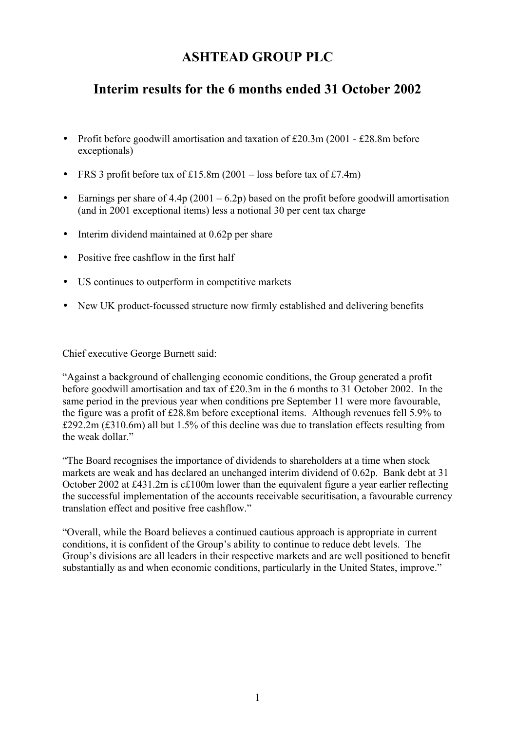# **ASHTEAD GROUP PLC**

# **Interim results for the 6 months ended 31 October 2002**

- Profit before goodwill amortisation and taxation of £20.3m (2001 £28.8m before exceptionals)
- FRS 3 profit before tax of £15.8m  $(2001 \text{loss} )$  before tax of £7.4m)
- Earnings per share of  $4.4p(2001 6.2p)$  based on the profit before goodwill amortisation (and in 2001 exceptional items) less a notional 30 per cent tax charge
- Interim dividend maintained at 0.62p per share
- Positive free cashflow in the first half
- US continues to outperform in competitive markets
- New UK product-focussed structure now firmly established and delivering benefits

Chief executive George Burnett said:

"Against a background of challenging economic conditions, the Group generated a profit before goodwill amortisation and tax of £20.3m in the 6 months to 31 October 2002. In the same period in the previous year when conditions pre September 11 were more favourable, the figure was a profit of £28.8m before exceptional items. Although revenues fell 5.9% to £292.2m (£310.6m) all but 1.5% of this decline was due to translation effects resulting from the weak dollar."

"The Board recognises the importance of dividends to shareholders at a time when stock markets are weak and has declared an unchanged interim dividend of 0.62p. Bank debt at 31 October 2002 at £431.2m is c£100m lower than the equivalent figure a year earlier reflecting the successful implementation of the accounts receivable securitisation, a favourable currency translation effect and positive free cashflow."

"Overall, while the Board believes a continued cautious approach is appropriate in current conditions, it is confident of the Group's ability to continue to reduce debt levels. The Group's divisions are all leaders in their respective markets and are well positioned to benefit substantially as and when economic conditions, particularly in the United States, improve."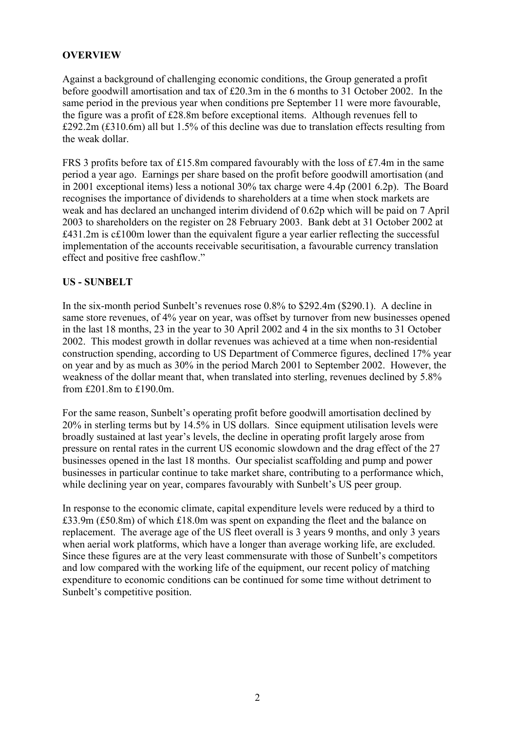# **OVERVIEW**

Against a background of challenging economic conditions, the Group generated a profit before goodwill amortisation and tax of £20.3m in the 6 months to 31 October 2002. In the same period in the previous year when conditions pre September 11 were more favourable, the figure was a profit of £28.8m before exceptional items. Although revenues fell to £292.2m (£310.6m) all but 1.5% of this decline was due to translation effects resulting from the weak dollar.

FRS 3 profits before tax of £15.8m compared favourably with the loss of £7.4m in the same period a year ago. Earnings per share based on the profit before goodwill amortisation (and in 2001 exceptional items) less a notional 30% tax charge were 4.4p (2001 6.2p). The Board recognises the importance of dividends to shareholders at a time when stock markets are weak and has declared an unchanged interim dividend of 0.62p which will be paid on 7 April 2003 to shareholders on the register on 28 February 2003. Bank debt at 31 October 2002 at £431.2m is c£100m lower than the equivalent figure a year earlier reflecting the successful implementation of the accounts receivable securitisation, a favourable currency translation effect and positive free cashflow."

## **US - SUNBELT**

In the six-month period Sunbelt's revenues rose 0.8% to \$292.4m (\$290.1). A decline in same store revenues, of 4% year on year, was offset by turnover from new businesses opened in the last 18 months, 23 in the year to 30 April 2002 and 4 in the six months to 31 October 2002. This modest growth in dollar revenues was achieved at a time when non-residential construction spending, according to US Department of Commerce figures, declined 17% year on year and by as much as 30% in the period March 2001 to September 2002. However, the weakness of the dollar meant that, when translated into sterling, revenues declined by 5.8% from £201.8m to £190.0m.

For the same reason, Sunbelt's operating profit before goodwill amortisation declined by 20% in sterling terms but by 14.5% in US dollars. Since equipment utilisation levels were broadly sustained at last year's levels, the decline in operating profit largely arose from pressure on rental rates in the current US economic slowdown and the drag effect of the 27 businesses opened in the last 18 months. Our specialist scaffolding and pump and power businesses in particular continue to take market share, contributing to a performance which, while declining year on year, compares favourably with Sunbelt's US peer group.

In response to the economic climate, capital expenditure levels were reduced by a third to £33.9m (£50.8m) of which £18.0m was spent on expanding the fleet and the balance on replacement. The average age of the US fleet overall is 3 years 9 months, and only 3 years when aerial work platforms, which have a longer than average working life, are excluded. Since these figures are at the very least commensurate with those of Sunbelt's competitors and low compared with the working life of the equipment, our recent policy of matching expenditure to economic conditions can be continued for some time without detriment to Sunbelt's competitive position.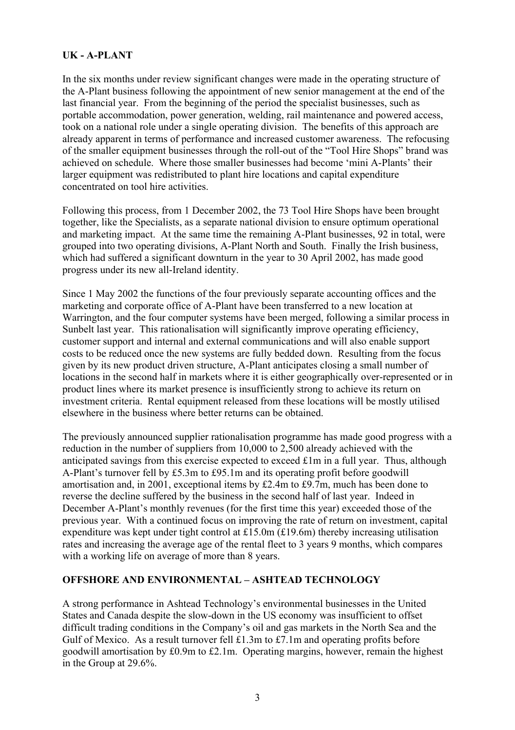# **UK - A-PLANT**

In the six months under review significant changes were made in the operating structure of the A-Plant business following the appointment of new senior management at the end of the last financial year. From the beginning of the period the specialist businesses, such as portable accommodation, power generation, welding, rail maintenance and powered access, took on a national role under a single operating division. The benefits of this approach are already apparent in terms of performance and increased customer awareness. The refocusing of the smaller equipment businesses through the roll-out of the "Tool Hire Shops" brand was achieved on schedule. Where those smaller businesses had become 'mini A-Plants' their larger equipment was redistributed to plant hire locations and capital expenditure concentrated on tool hire activities.

Following this process, from 1 December 2002, the 73 Tool Hire Shops have been brought together, like the Specialists, as a separate national division to ensure optimum operational and marketing impact. At the same time the remaining A-Plant businesses, 92 in total, were grouped into two operating divisions, A-Plant North and South. Finally the Irish business, which had suffered a significant downturn in the year to 30 April 2002, has made good progress under its new all-Ireland identity.

Since 1 May 2002 the functions of the four previously separate accounting offices and the marketing and corporate office of A-Plant have been transferred to a new location at Warrington, and the four computer systems have been merged, following a similar process in Sunbelt last year. This rationalisation will significantly improve operating efficiency, customer support and internal and external communications and will also enable support costs to be reduced once the new systems are fully bedded down. Resulting from the focus given by its new product driven structure, A-Plant anticipates closing a small number of locations in the second half in markets where it is either geographically over-represented or in product lines where its market presence is insufficiently strong to achieve its return on investment criteria. Rental equipment released from these locations will be mostly utilised elsewhere in the business where better returns can be obtained.

The previously announced supplier rationalisation programme has made good progress with a reduction in the number of suppliers from 10,000 to 2,500 already achieved with the anticipated savings from this exercise expected to exceed £1m in a full year. Thus, although A-Plant's turnover fell by £5.3m to £95.1m and its operating profit before goodwill amortisation and, in 2001, exceptional items by £2.4m to £9.7m, much has been done to reverse the decline suffered by the business in the second half of last year. Indeed in December A-Plant's monthly revenues (for the first time this year) exceeded those of the previous year. With a continued focus on improving the rate of return on investment, capital expenditure was kept under tight control at £15.0m (£19.6m) thereby increasing utilisation rates and increasing the average age of the rental fleet to 3 years 9 months, which compares with a working life on average of more than 8 years.

## **OFFSHORE AND ENVIRONMENTAL – ASHTEAD TECHNOLOGY**

A strong performance in Ashtead Technology's environmental businesses in the United States and Canada despite the slow-down in the US economy was insufficient to offset difficult trading conditions in the Company's oil and gas markets in the North Sea and the Gulf of Mexico. As a result turnover fell £1.3m to £7.1m and operating profits before goodwill amortisation by £0.9m to £2.1m. Operating margins, however, remain the highest in the Group at 29.6%.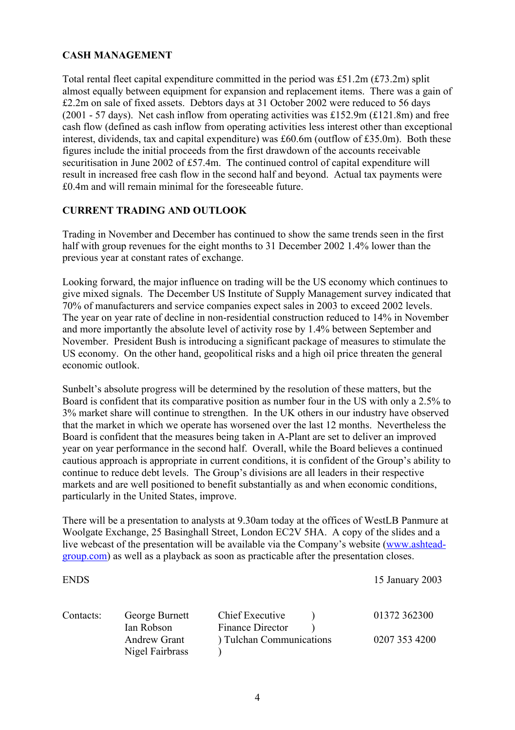# **CASH MANAGEMENT**

Total rental fleet capital expenditure committed in the period was £51.2m (£73.2m) split almost equally between equipment for expansion and replacement items. There was a gain of £2.2m on sale of fixed assets. Debtors days at 31 October 2002 were reduced to 56 days (2001 - 57 days). Net cash inflow from operating activities was £152.9m (£121.8m) and free cash flow (defined as cash inflow from operating activities less interest other than exceptional interest, dividends, tax and capital expenditure) was £60.6m (outflow of £35.0m). Both these figures include the initial proceeds from the first drawdown of the accounts receivable securitisation in June 2002 of £57.4m. The continued control of capital expenditure will result in increased free cash flow in the second half and beyond. Actual tax payments were £0.4m and will remain minimal for the foreseeable future.

# **CURRENT TRADING AND OUTLOOK**

Trading in November and December has continued to show the same trends seen in the first half with group revenues for the eight months to 31 December 2002 1.4% lower than the previous year at constant rates of exchange.

Looking forward, the major influence on trading will be the US economy which continues to give mixed signals. The December US Institute of Supply Management survey indicated that 70% of manufacturers and service companies expect sales in 2003 to exceed 2002 levels. The year on year rate of decline in non-residential construction reduced to 14% in November and more importantly the absolute level of activity rose by 1.4% between September and November. President Bush is introducing a significant package of measures to stimulate the US economy. On the other hand, geopolitical risks and a high oil price threaten the general economic outlook.

Sunbelt's absolute progress will be determined by the resolution of these matters, but the Board is confident that its comparative position as number four in the US with only a 2.5% to 3% market share will continue to strengthen. In the UK others in our industry have observed that the market in which we operate has worsened over the last 12 months. Nevertheless the Board is confident that the measures being taken in A-Plant are set to deliver an improved year on year performance in the second half. Overall, while the Board believes a continued cautious approach is appropriate in current conditions, it is confident of the Group's ability to continue to reduce debt levels. The Group's divisions are all leaders in their respective markets and are well positioned to benefit substantially as and when economic conditions, particularly in the United States, improve.

There will be a presentation to analysts at 9.30am today at the offices of WestLB Panmure at Woolgate Exchange, 25 Basinghall Street, London EC2V 5HA. A copy of the slides and a live webcast of the presentation will be available via the Company's website (www.ashteadgroup.com) as well as a playback as soon as practicable after the presentation closes.

| <b>ENDS</b> |                                        |                          | 15 January 2003 |
|-------------|----------------------------------------|--------------------------|-----------------|
| Contacts:   | George Burnett                         | Chief Executive          | 01372 362300    |
|             | Ian Robson                             | Finance Director         |                 |
|             | <b>Andrew Grant</b><br>Nigel Fairbrass | ) Tulchan Communications | 0207 353 4200   |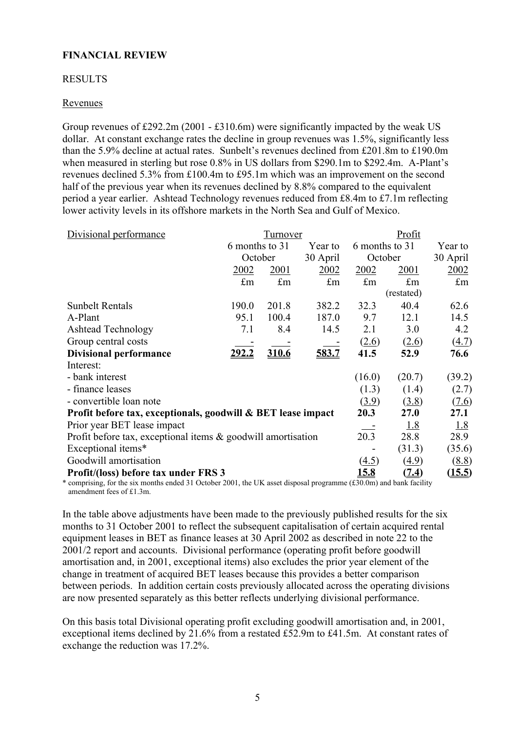# **FINANCIAL REVIEW**

#### RESULTS

#### Revenues

Group revenues of £292.2m (2001 - £310.6m) were significantly impacted by the weak US dollar. At constant exchange rates the decline in group revenues was 1.5%, significantly less than the 5.9% decline at actual rates. Sunbelt's revenues declined from £201.8m to £190.0m when measured in sterling but rose 0.8% in US dollars from \$290.1m to \$292.4m. A-Plant's revenues declined 5.3% from £100.4m to £95.1m which was an improvement on the second half of the previous year when its revenues declined by 8.8% compared to the equivalent period a year earlier. Ashtead Technology revenues reduced from £8.4m to £7.1m reflecting lower activity levels in its offshore markets in the North Sea and Gulf of Mexico.

| Divisional performance                                          |                                      | Tu <u>rnover</u> |          | Profit               |                      |              |  |
|-----------------------------------------------------------------|--------------------------------------|------------------|----------|----------------------|----------------------|--------------|--|
|                                                                 | 6 months to 31                       |                  | Year to  | 6 months to 31       |                      | Year to      |  |
|                                                                 | October                              |                  | 30 April | October              |                      | 30 April     |  |
|                                                                 | 2002                                 | <u>2001</u>      | 2002     | <u>2002</u>          | 2001                 | 2002         |  |
|                                                                 | £m                                   | $\pounds$ m      | £m       | $\pounds$ m          | $\mathop{\text{fm}}$ | $\pounds$ m  |  |
|                                                                 |                                      |                  |          |                      | (restated)           |              |  |
| <b>Sunbelt Rentals</b>                                          | 190.0                                | 201.8            | 382.2    | 32.3                 | 40.4                 | 62.6         |  |
| A-Plant                                                         | 95.1                                 | 100.4            | 187.0    | 9.7                  | 12.1                 | 14.5         |  |
| <b>Ashtead Technology</b>                                       | 7.1                                  | 8.4              | 14.5     | 2.1                  | 3.0                  | 4.2          |  |
| Group central costs                                             |                                      |                  |          | (2.6)                | (2.6)                | <u>(4.7)</u> |  |
| <b>Divisional performance</b>                                   | <u> 292.2</u>                        | 310.6            | 583.7    | 41.5                 | 52.9                 | 76.6         |  |
| Interest:                                                       |                                      |                  |          |                      |                      |              |  |
| - bank interest                                                 |                                      |                  |          | (16.0)               | (20.7)               | (39.2)       |  |
| - finance leases                                                |                                      |                  |          | (1.3)                | (1.4)                | (2.7)        |  |
| - convertible loan note                                         |                                      |                  |          | (3.9)                | (3.8)                | (7.6)        |  |
| Profit before tax, exceptionals, goodwill & BET lease impact    |                                      |                  |          | 20.3                 | 27.0                 | 27.1         |  |
| Prior year BET lease impact                                     |                                      |                  |          |                      | <u>1.8</u>           | 1.8          |  |
| Profit before tax, exceptional items $\&$ goodwill amortisation |                                      |                  |          | 20.3                 | 28.8                 | 28.9         |  |
| Exceptional items*                                              |                                      |                  |          |                      | (31.3)               | (35.6)       |  |
| Goodwill amortisation                                           |                                      |                  |          | <u>(4.5)</u><br>15.8 | (4.9)                | (8.8)        |  |
|                                                                 | Profit/(loss) before tax under FRS 3 |                  |          |                      |                      | (15.5)       |  |

\* comprising, for the six months ended 31 October 2001, the UK asset disposal programme  $(\text{\textsterling}30.0m)$  and bank facility amendment fees of £1.3m.

In the table above adjustments have been made to the previously published results for the six months to 31 October 2001 to reflect the subsequent capitalisation of certain acquired rental equipment leases in BET as finance leases at 30 April 2002 as described in note 22 to the 2001/2 report and accounts. Divisional performance (operating profit before goodwill amortisation and, in 2001, exceptional items) also excludes the prior year element of the change in treatment of acquired BET leases because this provides a better comparison between periods. In addition certain costs previously allocated across the operating divisions are now presented separately as this better reflects underlying divisional performance.

On this basis total Divisional operating profit excluding goodwill amortisation and, in 2001, exceptional items declined by 21.6% from a restated £52.9m to £41.5m. At constant rates of exchange the reduction was 17.2%.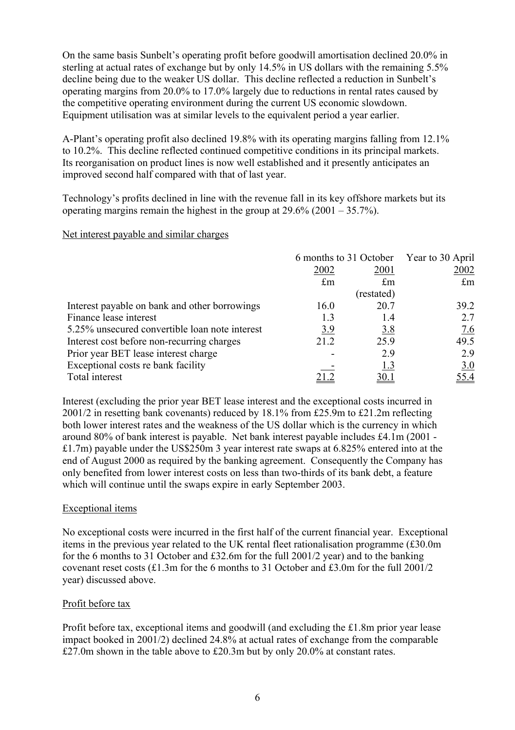On the same basis Sunbelt's operating profit before goodwill amortisation declined 20.0% in sterling at actual rates of exchange but by only 14.5% in US dollars with the remaining 5.5% decline being due to the weaker US dollar. This decline reflected a reduction in Sunbelt's operating margins from 20.0% to 17.0% largely due to reductions in rental rates caused by the competitive operating environment during the current US economic slowdown. Equipment utilisation was at similar levels to the equivalent period a year earlier.

A-Plant's operating profit also declined 19.8% with its operating margins falling from 12.1% to 10.2%. This decline reflected continued competitive conditions in its principal markets. Its reorganisation on product lines is now well established and it presently anticipates an improved second half compared with that of last year.

Technology's profits declined in line with the revenue fall in its key offshore markets but its operating margins remain the highest in the group at  $29.6\%$  (2001 – 35.7%).

#### Net interest payable and similar charges

|                                                |             | 6 months to 31 October | Year to 30 April |  |
|------------------------------------------------|-------------|------------------------|------------------|--|
|                                                | 2002        | 2001                   | 2002             |  |
|                                                | $\pounds$ m | $\pounds$ m            | $\pounds$ m      |  |
|                                                |             | (restated)             |                  |  |
| Interest payable on bank and other borrowings  | 16.0        | 20.7                   | 39.2             |  |
| Finance lease interest                         | 1.3         | 1.4                    | 2.7              |  |
| 5.25% unsecured convertible loan note interest | <u>3.9</u>  | <u>3.8</u>             | 7.6              |  |
| Interest cost before non-recurring charges     | 21.2        | 25.9                   | 49.5             |  |
| Prior year BET lease interest charge           |             | 2.9                    | 2.9              |  |
| Exceptional costs re bank facility             |             | <u>1.3</u>             | 3.0              |  |
| Total interest                                 |             | <u>30.1</u>            | 55.4             |  |

Interest (excluding the prior year BET lease interest and the exceptional costs incurred in 2001/2 in resetting bank covenants) reduced by 18.1% from £25.9m to £21.2m reflecting both lower interest rates and the weakness of the US dollar which is the currency in which around 80% of bank interest is payable. Net bank interest payable includes £4.1m (2001 - £1.7m) payable under the US\$250m 3 year interest rate swaps at 6.825% entered into at the end of August 2000 as required by the banking agreement. Consequently the Company has only benefited from lower interest costs on less than two-thirds of its bank debt, a feature which will continue until the swaps expire in early September 2003.

#### Exceptional items

No exceptional costs were incurred in the first half of the current financial year. Exceptional items in the previous year related to the UK rental fleet rationalisation programme (£30.0m for the 6 months to 31 October and £32.6m for the full 2001/2 year) and to the banking covenant reset costs (£1.3m for the 6 months to 31 October and £3.0m for the full 2001/2 year) discussed above.

## Profit before tax

Profit before tax, exceptional items and goodwill (and excluding the £1.8m prior year lease impact booked in 2001/2) declined 24.8% at actual rates of exchange from the comparable £27.0m shown in the table above to £20.3m but by only 20.0% at constant rates.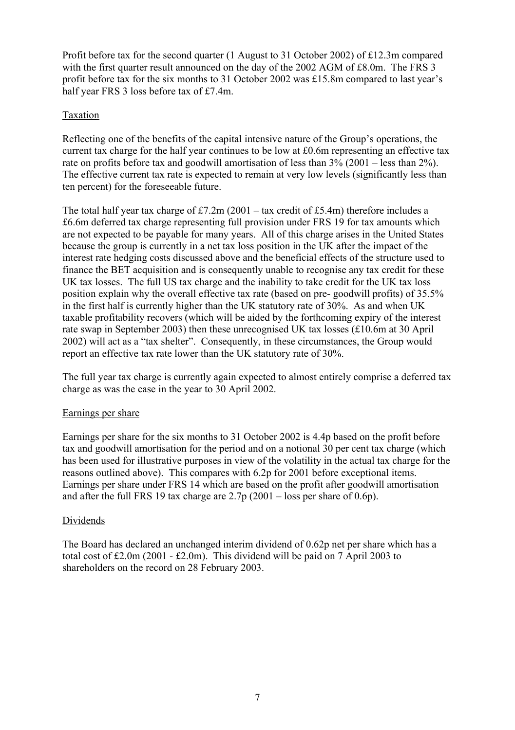Profit before tax for the second quarter (1 August to 31 October 2002) of £12.3m compared with the first quarter result announced on the day of the 2002 AGM of £8.0m. The FRS 3 profit before tax for the six months to 31 October 2002 was £15.8m compared to last year's half year FRS 3 loss before tax of £7.4m.

## **Taxation**

Reflecting one of the benefits of the capital intensive nature of the Group's operations, the current tax charge for the half year continues to be low at £0.6m representing an effective tax rate on profits before tax and goodwill amortisation of less than 3% (2001 – less than 2%). The effective current tax rate is expected to remain at very low levels (significantly less than ten percent) for the foreseeable future.

The total half year tax charge of  $\text{\textsterling}7.2m$  (2001 – tax credit of £5.4m) therefore includes a £6.6m deferred tax charge representing full provision under FRS 19 for tax amounts which are not expected to be payable for many years. All of this charge arises in the United States because the group is currently in a net tax loss position in the UK after the impact of the interest rate hedging costs discussed above and the beneficial effects of the structure used to finance the BET acquisition and is consequently unable to recognise any tax credit for these UK tax losses. The full US tax charge and the inability to take credit for the UK tax loss position explain why the overall effective tax rate (based on pre- goodwill profits) of 35.5% in the first half is currently higher than the UK statutory rate of 30%. As and when UK taxable profitability recovers (which will be aided by the forthcoming expiry of the interest rate swap in September 2003) then these unrecognised UK tax losses (£10.6m at 30 April 2002) will act as a "tax shelter". Consequently, in these circumstances, the Group would report an effective tax rate lower than the UK statutory rate of 30%.

The full year tax charge is currently again expected to almost entirely comprise a deferred tax charge as was the case in the year to 30 April 2002.

#### Earnings per share

Earnings per share for the six months to 31 October 2002 is 4.4p based on the profit before tax and goodwill amortisation for the period and on a notional 30 per cent tax charge (which has been used for illustrative purposes in view of the volatility in the actual tax charge for the reasons outlined above). This compares with 6.2p for 2001 before exceptional items. Earnings per share under FRS 14 which are based on the profit after goodwill amortisation and after the full FRS 19 tax charge are  $2.7p(2001 - loss$  per share of 0.6p).

#### Dividends

The Board has declared an unchanged interim dividend of 0.62p net per share which has a total cost of £2.0m (2001 - £2.0m). This dividend will be paid on 7 April 2003 to shareholders on the record on 28 February 2003.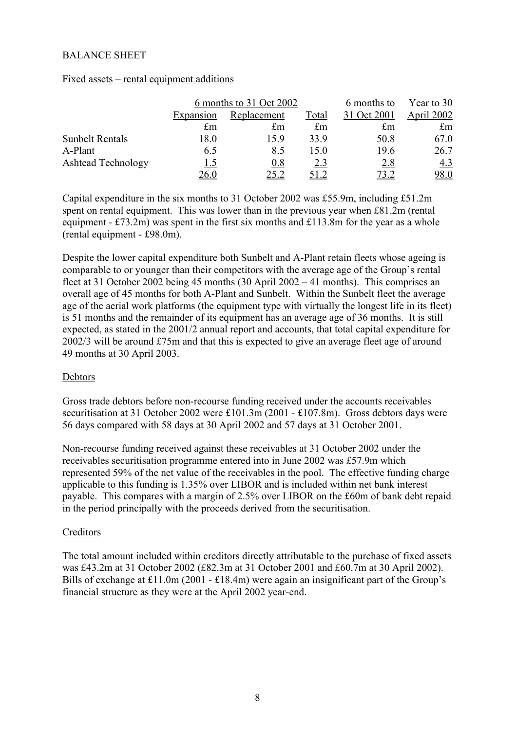#### BALANCE SHEET

#### Fixed assets – rental equipment additions

|                           |            | 6 months to 31 Oct 2002 |             | 6 months to | Year to 30  |
|---------------------------|------------|-------------------------|-------------|-------------|-------------|
|                           | Expansion  | Replacement             | Total       | 31 Oct 2001 | April 2002  |
|                           | £m         | $\pounds$ m             | $\pounds$ m | £m          | $\pounds$ m |
| <b>Sunbelt Rentals</b>    | 18.0       | 159                     | 33.9        | 50.8        | 67.0        |
| A-Plant                   | 6.5        | 8.5                     | 15.0        | 19.6        | 26.7        |
| <b>Ashtead Technology</b> | <u>1.5</u> | 0.8                     | 2.3         | 2.8         | <u>4.3</u>  |
|                           | 26.0       | 25.2                    |             | 73.2        | <u>98.0</u> |

Capital expenditure in the six months to 31 October 2002 was £55.9m, including £51.2m spent on rental equipment. This was lower than in the previous year when £81.2m (rental equipment -  $£73.2m$ ) was spent in the first six months and  $£113.8m$  for the year as a whole (rental equipment - £98.0m).

Despite the lower capital expenditure both Sunbelt and A-Plant retain fleets whose ageing is comparable to or younger than their competitors with the average age of the Group's rental fleet at 31 October 2002 being 45 months (30 April 2002 – 41 months). This comprises an overall age of 45 months for both A-Plant and Sunbelt. Within the Sunbelt fleet the average age of the aerial work platforms (the equipment type with virtually the longest life in its fleet) is 51 months and the remainder of its equipment has an average age of 36 months. It is still expected, as stated in the 2001/2 annual report and accounts, that total capital expenditure for 2002/3 will be around £75m and that this is expected to give an average fleet age of around 49 months at 30 April 2003.

#### Debtors

Gross trade debtors before non-recourse funding received under the accounts receivables securitisation at 31 October 2002 were £101.3m (2001 - £107.8m). Gross debtors days were 56 days compared with 58 days at 30 April 2002 and 57 days at 31 October 2001.

Non-recourse funding received against these receivables at 31 October 2002 under the receivables securitisation programme entered into in June 2002 was £57.9m which represented 59% of the net value of the receivables in the pool. The effective funding charge applicable to this funding is 1.35% over LIBOR and is included within net bank interest payable. This compares with a margin of 2.5% over LIBOR on the £60m of bank debt repaid in the period principally with the proceeds derived from the securitisation.

#### Creditors

The total amount included within creditors directly attributable to the purchase of fixed assets was £43.2m at 31 October 2002 (£82.3m at 31 October 2001 and £60.7m at 30 April 2002). Bills of exchange at £11.0m (2001 - £18.4m) were again an insignificant part of the Group's financial structure as they were at the April 2002 year-end.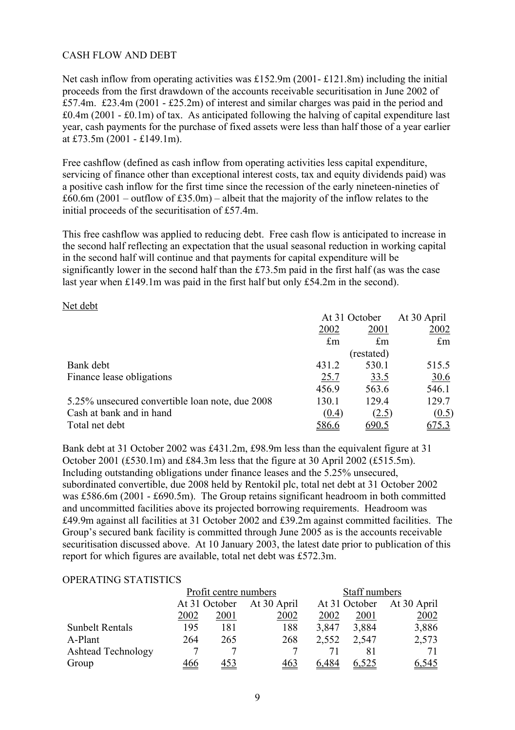### CASH FLOW AND DEBT

Net cash inflow from operating activities was £152.9m (2001- £121.8m) including the initial proceeds from the first drawdown of the accounts receivable securitisation in June 2002 of £57.4m. £23.4m (2001 - £25.2m) of interest and similar charges was paid in the period and  $\text{\pounds}0.4\text{m}$  (2001 -  $\text{\pounds}0.1\text{m}$ ) of tax. As anticipated following the halving of capital expenditure last year, cash payments for the purchase of fixed assets were less than half those of a year earlier at £73.5m (2001 - £149.1m).

Free cashflow (defined as cash inflow from operating activities less capital expenditure, servicing of finance other than exceptional interest costs, tax and equity dividends paid) was a positive cash inflow for the first time since the recession of the early nineteen-nineties of  $£60.6m (2001 - outflow of £35.0m) - albeit that the majority of the inflow relates to the$ initial proceeds of the securitisation of £57.4m.

This free cashflow was applied to reducing debt. Free cash flow is anticipated to increase in the second half reflecting an expectation that the usual seasonal reduction in working capital in the second half will continue and that payments for capital expenditure will be significantly lower in the second half than the £73.5m paid in the first half (as was the case last year when £149.1m was paid in the first half but only £54.2m in the second).

#### Net debt

|                                                 | At 31 October |             | At 30 April  |  |
|-------------------------------------------------|---------------|-------------|--------------|--|
|                                                 | 2002          | 2001        | 2002         |  |
|                                                 | $\pounds$ m   | $\pounds$ m | $\pounds$ m  |  |
|                                                 |               | (restated)  |              |  |
| Bank debt                                       | 431.2         | 530.1       | 515.5        |  |
| Finance lease obligations                       | 25.7          | <u>33.5</u> | <u>30.6</u>  |  |
|                                                 | 456.9         | 563.6       | 546.1        |  |
| 5.25% unsecured convertible loan note, due 2008 | 130.1         | 129.4       | 129.7        |  |
| Cash at bank and in hand                        | (0.4)         | (2.5)       | (0.5)        |  |
| Total net debt                                  | <u>586.6</u>  | 690.5       | <u>675.3</u> |  |

Bank debt at 31 October 2002 was £431.2m, £98.9m less than the equivalent figure at 31 October 2001 (£530.1m) and £84.3m less that the figure at 30 April 2002 (£515.5m). Including outstanding obligations under finance leases and the 5.25% unsecured, subordinated convertible, due 2008 held by Rentokil plc, total net debt at 31 October 2002 was £586.6m (2001 - £690.5m). The Group retains significant headroom in both committed and uncommitted facilities above its projected borrowing requirements. Headroom was £49.9m against all facilities at 31 October 2002 and £39.2m against committed facilities. The Group's secured bank facility is committed through June 2005 as is the accounts receivable securitisation discussed above. At 10 January 2003, the latest date prior to publication of this report for which figures are available, total net debt was £572.3m.

#### OPERATING STATISTICS

|                           |                           | Profit centre numbers |            | Staff numbers |       |                           |
|---------------------------|---------------------------|-----------------------|------------|---------------|-------|---------------------------|
|                           | At 31 October At 30 April |                       |            |               |       | At 31 October At 30 April |
|                           | 2002                      | 2001                  | 2002       | 2002          | 2001  | 2002                      |
| <b>Sunbelt Rentals</b>    | 195                       | 181                   | 188        | 3,847         | 3,884 | 3,886                     |
| A-Plant                   | 264                       | 265                   | 268        | 2,552         | 2,547 | 2,573                     |
| <b>Ashtead Technology</b> |                           |                       |            |               |       | 71                        |
| Group                     |                           |                       | <u>463</u> | 6.484         |       | <u>6,545</u>              |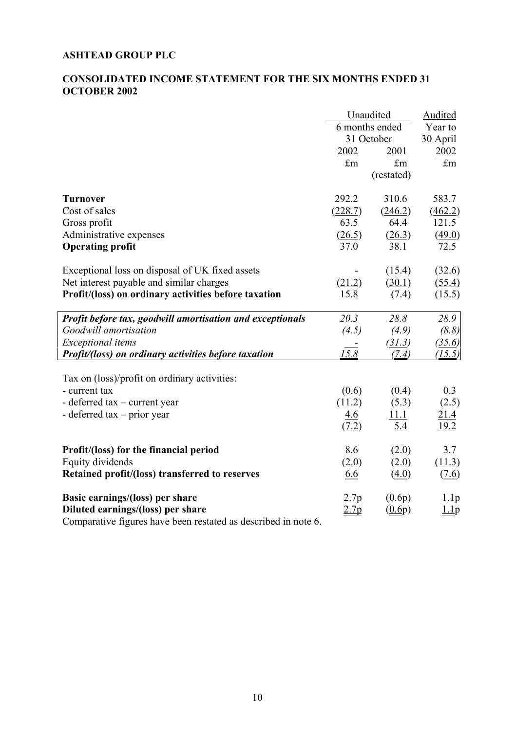### **ASHTEAD GROUP PLC**

# **CONSOLIDATED INCOME STATEMENT FOR THE SIX MONTHS ENDED 31 OCTOBER 2002**

|                                                               |             | Unaudited               | <b>Audited</b>          |
|---------------------------------------------------------------|-------------|-------------------------|-------------------------|
|                                                               |             | 6 months ended          | Year to                 |
|                                                               |             | 31 October              | 30 April                |
|                                                               | 2002        | 2001                    | 2002                    |
|                                                               | $\pounds$ m | $\mathbf{f}_{\text{m}}$ | $\mathbf{f}_{\text{m}}$ |
|                                                               |             | (restated)              |                         |
| <b>Turnover</b>                                               | 292.2       | 310.6                   | 583.7                   |
| Cost of sales                                                 | (228.7)     | (246.2)                 | (462.2)                 |
| Gross profit                                                  | 63.5        | 64.4                    | 121.5                   |
| Administrative expenses                                       | (26.5)      | (26.3)                  | (49.0)                  |
| <b>Operating profit</b>                                       | 37.0        | 38.1                    | 72.5                    |
| Exceptional loss on disposal of UK fixed assets               |             | (15.4)                  | (32.6)                  |
| Net interest payable and similar charges                      | (21.2)      | (30.1)                  | (55.4)                  |
| Profit/(loss) on ordinary activities before taxation          | 15.8        | (7.4)                   | (15.5)                  |
| Profit before tax, goodwill amortisation and exceptionals     | 20.3        | 28.8                    | 28.9                    |
| Goodwill amortisation                                         | (4.5)       | (4.9)                   | (8.8)                   |
| <b>Exceptional</b> items                                      |             | (31.3)                  | (35.6)                  |
| Profit/(loss) on ordinary activities before taxation          | 15.8        | (7.4)                   | (15.5)                  |
| Tax on (loss)/profit on ordinary activities:                  |             |                         |                         |
| - current tax                                                 | (0.6)       | (0.4)                   | 0.3                     |
| - deferred tax – current year                                 | (11.2)      | (5.3)                   | (2.5)                   |
| - deferred $tax - prior$ year                                 | <u>4.6</u>  | 11.1                    | 21.4                    |
|                                                               | (7.2)       | 5.4                     | 19.2                    |
| Profit/(loss) for the financial period                        | 8.6         | (2.0)                   | 3.7                     |
| Equity dividends                                              | (2.0)       | (2.0)                   | (11.3)                  |
| Retained profit/(loss) transferred to reserves                | 6.6         | (4.0)                   | (7.6)                   |
| Basic earnings/(loss) per share                               | 2.7p        | (0.6p)                  | 1.1p                    |
| Diluted earnings/(loss) per share                             | 2.7p        | (0.6p)                  | $1$ $1$ p               |
| Comparative Course house hoor restated as described in note 6 |             |                         |                         |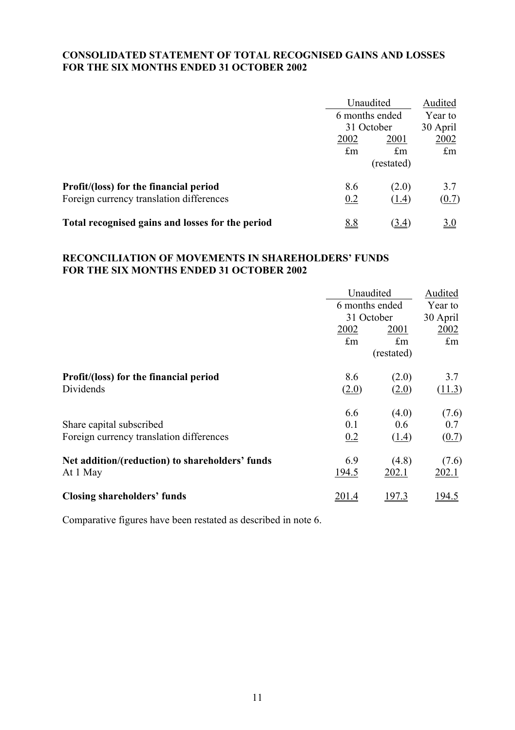#### **CONSOLIDATED STATEMENT OF TOTAL RECOGNISED GAINS AND LOSSES FOR THE SIX MONTHS ENDED 31 OCTOBER 2002**

|                                                  |                | Unaudited   |             |
|--------------------------------------------------|----------------|-------------|-------------|
|                                                  | 6 months ended |             | Year to     |
|                                                  | 31 October     |             | 30 April    |
|                                                  | 2002           | 2001        | 2002        |
|                                                  | $\pounds$ m    | $\pounds$ m | $\pounds$ m |
|                                                  |                | (restated)  |             |
| Profit/(loss) for the financial period           | 8.6            | (2.0)       | 3.7         |
| Foreign currency translation differences         | 0.2            | (1.4)       | (0.7)       |
| Total recognised gains and losses for the period | <u>8.8</u>     | (3.4)       | <u>3.0</u>  |

# **RECONCILIATION OF MOVEMENTS IN SHAREHOLDERS' FUNDS FOR THE SIX MONTHS ENDED 31 OCTOBER 2002**

|                                                 |       |                                                                                                                                                                                                                         | Audited       |
|-------------------------------------------------|-------|-------------------------------------------------------------------------------------------------------------------------------------------------------------------------------------------------------------------------|---------------|
|                                                 |       |                                                                                                                                                                                                                         | Year to       |
|                                                 |       | Unaudited<br>6 months ended<br>31 October<br>2002<br>2001<br>$\pounds$ m<br>$\pounds$ m<br>(restated)<br>8.6<br>(2.0)<br>(2.0)<br>(2.0)<br>6.6<br>(4.0)<br>0.1<br>0.6<br>0.2<br>(1.4)<br>6.9<br>(4.8)<br>194.5<br>202.1 | 30 April      |
|                                                 |       |                                                                                                                                                                                                                         | 2002          |
|                                                 |       |                                                                                                                                                                                                                         | $\pounds$ m   |
|                                                 |       |                                                                                                                                                                                                                         |               |
| Profit/(loss) for the financial period          |       |                                                                                                                                                                                                                         | 3.7           |
| Dividends                                       |       |                                                                                                                                                                                                                         | (11.3)        |
|                                                 |       |                                                                                                                                                                                                                         | (7.6)         |
| Share capital subscribed                        |       |                                                                                                                                                                                                                         | 0.7           |
| Foreign currency translation differences        |       |                                                                                                                                                                                                                         | (0.7)         |
| Net addition/(reduction) to shareholders' funds |       |                                                                                                                                                                                                                         | (7.6)         |
| At 1 May                                        |       |                                                                                                                                                                                                                         | 202.1         |
| <b>Closing shareholders' funds</b>              | 201.4 | <u>197.3</u>                                                                                                                                                                                                            | <u> 194.5</u> |
|                                                 |       |                                                                                                                                                                                                                         |               |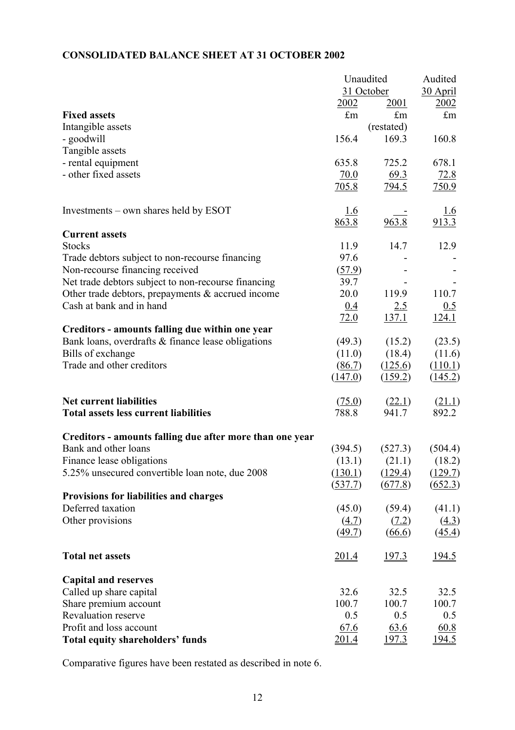# **CONSOLIDATED BALANCE SHEET AT 31 OCTOBER 2002**

|                                                          | Unaudited   |              | Audited             |  |
|----------------------------------------------------------|-------------|--------------|---------------------|--|
|                                                          | 31 October  |              | 30 April            |  |
|                                                          | 2002        | 2001         | 2002                |  |
| <b>Fixed assets</b>                                      | $\pounds$ m | $\pounds$ m  | $\pounds$ m         |  |
| Intangible assets                                        |             | (restated)   |                     |  |
| - goodwill                                               | 156.4       | 169.3        | 160.8               |  |
| Tangible assets                                          |             |              |                     |  |
| - rental equipment                                       | 635.8       | 725.2        | 678.1               |  |
| - other fixed assets                                     | 70.0        | 69.3         | 72.8                |  |
|                                                          | 705.8       | <u>794.5</u> | 750.9               |  |
|                                                          |             |              |                     |  |
| Investments – own shares held by ESOT                    | <u>1.6</u>  |              | 1.6                 |  |
|                                                          | 863.8       | 963.8        | 913.3               |  |
| <b>Current assets</b>                                    |             |              |                     |  |
| <b>Stocks</b>                                            | 11.9        | 14.7         | 12.9                |  |
|                                                          | 97.6        |              |                     |  |
| Trade debtors subject to non-recourse financing          |             |              |                     |  |
| Non-recourse financing received                          | (57.9)      |              |                     |  |
| Net trade debtors subject to non-recourse financing      | 39.7        |              |                     |  |
| Other trade debtors, prepayments & accrued income        | 20.0        | 119.9        | 110.7               |  |
| Cash at bank and in hand                                 | 0.4         | 2.5          | 0.5                 |  |
|                                                          | 72.0        | <u>137.1</u> | 124.1               |  |
| Creditors - amounts falling due within one year          |             |              |                     |  |
| Bank loans, overdrafts & finance lease obligations       | (49.3)      | (15.2)       | (23.5)              |  |
| Bills of exchange                                        | (11.0)      | (18.4)       | (11.6)              |  |
| Trade and other creditors                                | (86.7)      | (125.6)      | (110.1)             |  |
|                                                          | (147.0)     | (159.2)      | (145.2)             |  |
| <b>Net current liabilities</b>                           | (75.0)      | (22.1)       | (21.1)              |  |
| <b>Total assets less current liabilities</b>             | 788.8       | 941.7        | 892.2               |  |
| Creditors - amounts falling due after more than one year |             |              |                     |  |
| Bank and other loans                                     | (394.5)     | (527.3)      | (504.4)             |  |
| Finance lease obligations                                | (13.1)      | (21.1)       | (18.2)              |  |
| 5.25% unsecured convertible loan note, due 2008          | (130.1)     | (129.4)      | (129.7)             |  |
|                                                          | (537.7)     | (677.8)      | (652.3)             |  |
| <b>Provisions for liabilities and charges</b>            |             |              |                     |  |
| Deferred taxation                                        | (45.0)      | (59.4)       | (41.1)              |  |
| Other provisions                                         | (4.7)       | (7.2)        | (4.3)               |  |
|                                                          | (49.7)      | (66.6)       | $\left(45.4\right)$ |  |
| <b>Total net assets</b>                                  | 201.4       | 197.3        | <u>194.5</u>        |  |
|                                                          |             |              |                     |  |
| <b>Capital and reserves</b>                              |             |              |                     |  |
| Called up share capital                                  | 32.6        | 32.5         | 32.5                |  |
| Share premium account                                    | 100.7       | 100.7        | 100.7               |  |
| Revaluation reserve                                      | 0.5         | 0.5          | 0.5                 |  |
| Profit and loss account                                  | 67.6        | 63.6         | 60.8                |  |
| <b>Total equity shareholders' funds</b>                  | 201.4       | <u>197.3</u> | <u>194.5</u>        |  |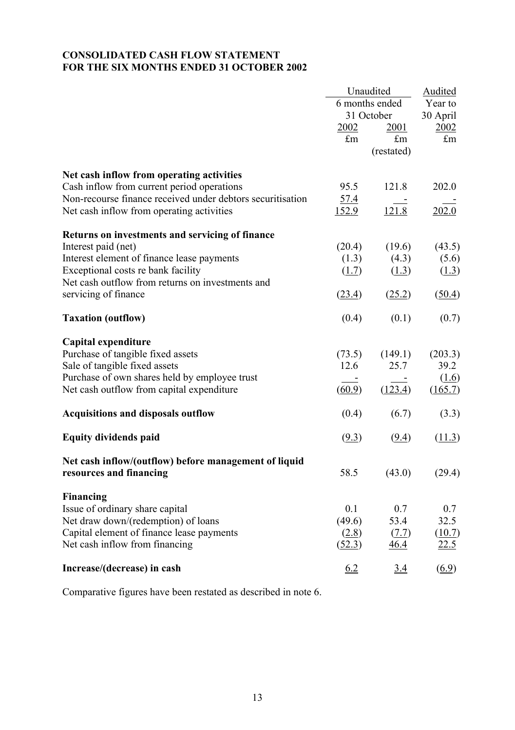#### **CONSOLIDATED CASH FLOW STATEMENT FOR THE SIX MONTHS ENDED 31 OCTOBER 2002**

|                                                            |                              | Unaudited          | <b>Audited</b>      |  |
|------------------------------------------------------------|------------------------------|--------------------|---------------------|--|
|                                                            | 6 months ended<br>31 October |                    | Year to             |  |
|                                                            |                              |                    | 30 April            |  |
|                                                            | 2002                         | <u>2001</u>        | 2002                |  |
|                                                            | $\pounds$ m                  | $\mathop{\pmb{m}}$ | $\pounds$ m         |  |
|                                                            |                              | (restated)         |                     |  |
| Net cash inflow from operating activities                  |                              |                    |                     |  |
| Cash inflow from current period operations                 | 95.5                         | 121.8              | 202.0               |  |
| Non-recourse finance received under debtors securitisation | <u>57.4</u>                  |                    |                     |  |
| Net cash inflow from operating activities                  | <u>152.9</u>                 | 121.8              | 202.0               |  |
| Returns on investments and servicing of finance            |                              |                    |                     |  |
| Interest paid (net)                                        | (20.4)                       | (19.6)             | (43.5)              |  |
| Interest element of finance lease payments                 | (1.3)                        | (4.3)              | (5.6)               |  |
| Exceptional costs re bank facility                         | (1.7)                        | (1.3)              | $(\underline{1.3})$ |  |
| Net cash outflow from returns on investments and           |                              |                    |                     |  |
| servicing of finance                                       | (23.4)                       | (25.2)             | (50.4)              |  |
| <b>Taxation (outflow)</b>                                  | (0.4)                        | (0.1)              | (0.7)               |  |
| Capital expenditure                                        |                              |                    |                     |  |
| Purchase of tangible fixed assets                          | (73.5)                       | (149.1)            | (203.3)             |  |
| Sale of tangible fixed assets                              | 12.6                         | 25.7               | 39.2                |  |
| Purchase of own shares held by employee trust              |                              |                    | (1.6)               |  |
| Net cash outflow from capital expenditure.                 | (60.9)                       | (123.4)            | (165.7)             |  |
| <b>Acquisitions and disposals outflow</b>                  | (0.4)                        | (6.7)              | (3.3)               |  |
| <b>Equity dividends paid</b>                               | (9.3)                        | (9.4)              | (11.3)              |  |
| Net cash inflow/(outflow) before management of liquid      |                              |                    |                     |  |
| resources and financing                                    | 58.5                         | (43.0)             | (29.4)              |  |
| <b>Financing</b>                                           |                              |                    |                     |  |
| Issue of ordinary share capital                            | 0.1                          | 0.7                | 0.7                 |  |
| Net draw down/(redemption) of loans                        | (49.6)                       | 53.4               | 32.5                |  |
| Capital element of finance lease payments                  | (2.8)                        | (7.7)              | (10.7)              |  |
| Net cash inflow from financing                             | (52.3)                       | <u>46.4</u>        | 22.5                |  |
| Increase/(decrease) in cash                                | 6.2                          | 3.4                | $\underline{(6.9)}$ |  |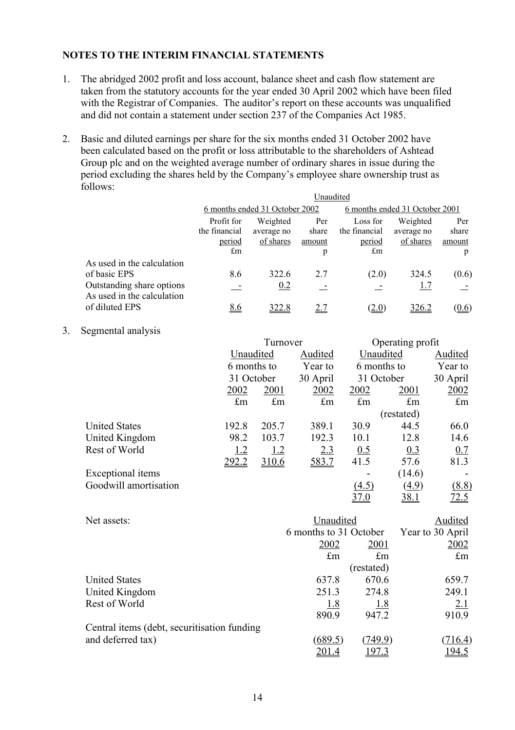# **NOTES TO THE INTERIM FINANCIAL STATEMENTS**

- 1. The abridged 2002 profit and loss account, balance sheet and cash flow statement are taken from the statutory accounts for the year ended 30 April 2002 which have been filed with the Registrar of Companies. The auditor's report on these accounts was unqualified and did not contain a statement under section 237 of the Companies Act 1985.
- 2. Basic and diluted earnings per share for the six months ended 31 October 2002 have been calculated based on the profit or loss attributable to the shareholders of Ashtead Group plc and on the weighted average number of ordinary shares in issue during the period excluding the shares held by the Company's employee share ownership trust as follows: Unaudited

|                                                                                                       | ∪naudıted                                            |                                     |                             |                                                    |                                     |                             |
|-------------------------------------------------------------------------------------------------------|------------------------------------------------------|-------------------------------------|-----------------------------|----------------------------------------------------|-------------------------------------|-----------------------------|
|                                                                                                       | 6 months ended 31 October 2002                       |                                     |                             |                                                    | 6 months ended 31 October 2001      |                             |
|                                                                                                       | Profit for<br>the financial<br>period<br>$\pounds$ m | Weighted<br>average no<br>of shares | Per<br>share<br>amount<br>p | Loss for<br>the financial<br>period<br>$\pounds$ m | Weighted<br>average no<br>of shares | Per<br>share<br>amount<br>p |
| As used in the calculation<br>of basic EPS<br>Outstanding share options<br>As used in the calculation | 8.6<br>$\sim$                                        | 322.6<br>0.2                        | 2.7                         | (2.0)                                              | 324.5<br><u>1.7</u>                 | (0.6)                       |
| of diluted EPS                                                                                        | 8.6                                                  | <u>322.8</u>                        | <u>2.7</u>                  | (2.0)                                              | 326.2                               | (0.6)                       |

3. Segmental analysis

|                       |                          | Turnover                |             |             | Operating profit |             |  |
|-----------------------|--------------------------|-------------------------|-------------|-------------|------------------|-------------|--|
|                       | Unaudited<br>6 months to |                         | Audited     | Unaudited   |                  | Audited     |  |
|                       |                          |                         | Year to     | 6 months to |                  | Year to     |  |
|                       |                          | 31 October              |             | 31 October  |                  | 30 April    |  |
|                       | 2002                     | 2001                    | 2002        | 2002        | 2001             | 2002        |  |
|                       | $\pounds$ m              | $\mathbf{f}_{\text{m}}$ | $\pounds$ m | $\pounds$ m | $\pounds$ m      | $\pounds$ m |  |
|                       |                          |                         |             |             | (restated)       |             |  |
| <b>United States</b>  | 192.8                    | 205.7                   | 389.1       | 30.9        | 44.5             | 66.0        |  |
| United Kingdom        | 98.2                     | 103.7                   | 192.3       | 10.1        | 12.8             | 14.6        |  |
| Rest of World         | 1.2                      | <u>1.2</u>              | 2.3         | 0.5         | 0.3              | 0.7         |  |
|                       | 292.2                    | <u>310.6</u>            | 583.7       | 41.5        | 57.6             | 81.3        |  |
| Exceptional items     |                          |                         |             |             | (14.6)           |             |  |
| Goodwill amortisation |                          |                         |             | (4.5)       | <u>(4.9)</u>     | (8.8)       |  |
|                       |                          |                         |             | 37.0        | <u>38.1</u>      | <u>72.5</u> |  |

| Net assets:                                  | Unaudited   |                        | Audited     |
|----------------------------------------------|-------------|------------------------|-------------|
|                                              |             | 6 months to 31 October |             |
|                                              | 2002        | 2001                   | 2002        |
|                                              | $\pounds$ m | $\pounds$ m            | $\pounds$ m |
|                                              |             | (restated)             |             |
| <b>United States</b>                         | 637.8       | 670.6                  | 659.7       |
| United Kingdom                               | 251.3       | 274.8                  | 249.1       |
| Rest of World                                | <u>1.8</u>  | <u>1.8</u>             | 2.1         |
|                                              | 890.9       | 947.2                  | 910.9       |
| Central items (debt, securitisation funding) |             |                        |             |
| and deferred tax)                            | (689.5)     | (749.9)                | 716.4)      |
|                                              | 201.4       | 197.3                  | 194.5       |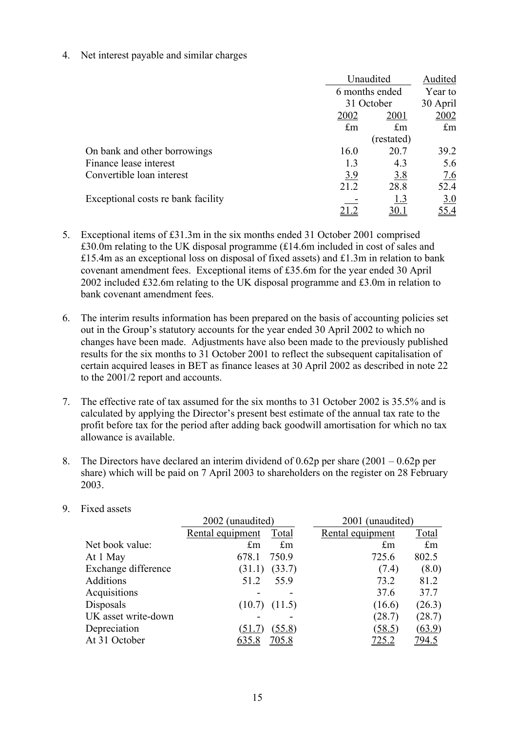4. Net interest payable and similar charges

|                                    | Unaudited<br>6 months ended<br>31 October |                      | Audited            |
|------------------------------------|-------------------------------------------|----------------------|--------------------|
|                                    |                                           |                      | Year to            |
|                                    |                                           |                      | 30 April           |
|                                    | 2002                                      | 2001                 | 2002               |
|                                    | $\pounds$ m                               | $\mathop{\text{fm}}$ | $\mathop{\pmb{m}}$ |
|                                    |                                           | (restated)           |                    |
| On bank and other borrowings       | 16.0                                      | 20.7                 | 39.2               |
| Finance lease interest             | 1.3                                       | 4.3                  | 5.6                |
| Convertible loan interest          | 3.9                                       | 3.8                  | 7.6                |
|                                    | 21.2                                      | 28.8                 | 52.4               |
| Exceptional costs re bank facility |                                           | <u>1.3</u>           | 3.0                |
|                                    |                                           |                      | 55.4               |

- 5. Exceptional items of £31.3m in the six months ended 31 October 2001 comprised £30.0m relating to the UK disposal programme (£14.6m included in cost of sales and £15.4m as an exceptional loss on disposal of fixed assets) and £1.3m in relation to bank covenant amendment fees. Exceptional items of £35.6m for the year ended 30 April 2002 included £32.6m relating to the UK disposal programme and £3.0m in relation to bank covenant amendment fees.
- 6. The interim results information has been prepared on the basis of accounting policies set out in the Group's statutory accounts for the year ended 30 April 2002 to which no changes have been made. Adjustments have also been made to the previously published results for the six months to 31 October 2001 to reflect the subsequent capitalisation of certain acquired leases in BET as finance leases at 30 April 2002 as described in note 22 to the 2001/2 report and accounts.
- 7. The effective rate of tax assumed for the six months to 31 October 2002 is 35.5% and is calculated by applying the Director's present best estimate of the annual tax rate to the profit before tax for the period after adding back goodwill amortisation for which no tax allowance is available.
- 8. The Directors have declared an interim dividend of 0.62p per share (2001 0.62p per share) which will be paid on 7 April 2003 to shareholders on the register on 28 February 2003.

|                     | 2002 (unaudited)                 | 2001 (unaudited) |              |  |  |
|---------------------|----------------------------------|------------------|--------------|--|--|
|                     | <b>Total</b><br>Rental equipment | Rental equipment | <b>Total</b> |  |  |
| Net book value:     | $\pounds$ m<br>$\pounds$ m       | $\pounds$ m      | $\pounds$ m  |  |  |
| At 1 May            | 678.1<br>750.9                   | 725.6            | 802.5        |  |  |
| Exchange difference | (33.7)<br>(31.1)                 | (7.4)            | (8.0)        |  |  |
| <b>Additions</b>    | 51.2<br>55.9                     | 73.2             | 81.2         |  |  |
| Acquisitions        |                                  | 37.6             | 37.7         |  |  |
| Disposals           | (11.5)<br>(10.7)                 | (16.6)           | (26.3)       |  |  |
| UK asset write-down |                                  | (28.7)           | (28.7)       |  |  |
| Depreciation        | (55.8)<br>(51.7                  | (58.5)           | (63.9)       |  |  |
| At 31 October       | <u>705.8</u><br><u>635.8</u>     | <u>725.2</u>     | <u>794.5</u> |  |  |

9. Fixed assets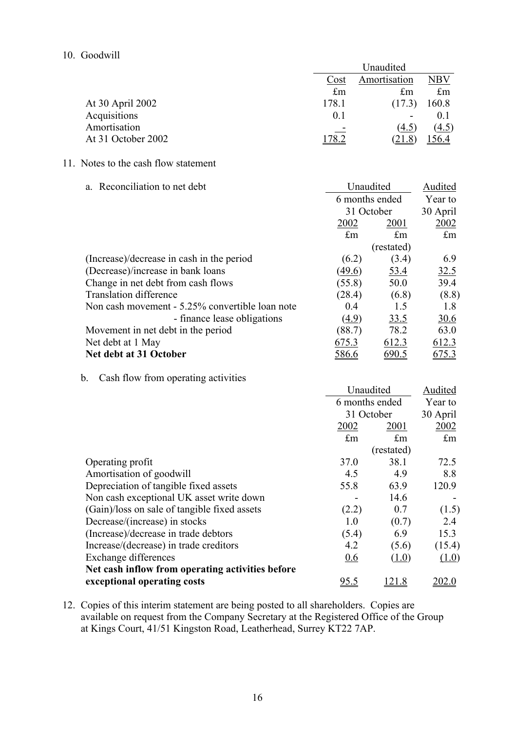#### 10. Goodwill

|                    |             | Unaudited               |             |  |
|--------------------|-------------|-------------------------|-------------|--|
|                    | Cost        | Amortisation            |             |  |
|                    | $\pounds$ m | $\mathbf{f}_{\text{m}}$ | $\pounds$ m |  |
| At 30 April 2002   | 178.1       | (17.3)                  | 160.8       |  |
| Acquisitions       | 0.1         |                         | 0.1         |  |
| Amortisation       |             | (4.5)                   | (4.5)       |  |
| At 31 October 2002 | 78.2        | 21.8                    | 56.4        |  |

# 11. Notes to the cash flow statement

| a. Reconciliation to net debt                   | Unaudited      |             | Audited     |
|-------------------------------------------------|----------------|-------------|-------------|
|                                                 | 6 months ended |             | Year to     |
|                                                 | 31 October     |             | 30 April    |
|                                                 | 2002           | 2001        | 2002        |
|                                                 | $\pounds$ m    | $\pounds$ m | $\pounds$ m |
|                                                 |                | (restated)  |             |
| (Increase)/decrease in cash in the period       | (6.2)          | (3.4)       | 6.9         |
| (Decrease)/increase in bank loans               | (49.6)         | <u>53.4</u> | 32.5        |
| Change in net debt from cash flows              | (55.8)         | 50.0        | 39.4        |
| <b>Translation difference</b>                   | (28.4)         | (6.8)       | (8.8)       |
| Non cash movement - 5.25% convertible loan note | 0.4            | 1.5         | 1.8         |
| - finance lease obligations                     | (4.9)          | 33.5        | 30.6        |
| Movement in net debt in the period              | (88.7)         | 78.2        | 63.0        |
| Net debt at 1 May                               | 675.3          | 612.3       | 612.3       |
| Net debt at 31 October                          | <u>586.6</u>   | 690.5       | 675.3       |

# b. Cash flow from operating activities

|                                                  | Unaudited<br>6 months ended<br>31 October<br>2002<br>2001 |             | Audited<br>Year to<br>30 April<br>2002 |
|--------------------------------------------------|-----------------------------------------------------------|-------------|----------------------------------------|
|                                                  |                                                           |             |                                        |
|                                                  |                                                           |             |                                        |
|                                                  |                                                           |             |                                        |
|                                                  | $\pounds$ m                                               | $\pounds$ m | $\pounds$ m                            |
|                                                  |                                                           | (restated)  |                                        |
| Operating profit                                 | 37.0                                                      | 38.1        | 72.5                                   |
| Amortisation of goodwill                         | 4.5                                                       | 4.9         | 8.8                                    |
| Depreciation of tangible fixed assets            | 55.8                                                      | 63.9        | 120.9                                  |
| Non cash exceptional UK asset write down         |                                                           | 14.6        |                                        |
| (Gain)/loss on sale of tangible fixed assets     | (2.2)                                                     | 0.7         | (1.5)                                  |
| Decrease/(increase) in stocks                    | 1.0                                                       | (0.7)       | 2.4                                    |
| (Increase)/decrease in trade debtors             | (5.4)                                                     | 6.9         | 15.3                                   |
| Increase/(decrease) in trade creditors           | 4.2                                                       | (5.6)       | (15.4)                                 |
| Exchange differences                             | 0.6                                                       | (1.0)       | (1.0)                                  |
| Net cash inflow from operating activities before |                                                           |             |                                        |
| exceptional operating costs                      | <u>95.5</u>                                               | l 21.8      | <u> 202.0</u>                          |

12. Copies of this interim statement are being posted to all shareholders. Copies are available on request from the Company Secretary at the Registered Office of the Group at Kings Court, 41/51 Kingston Road, Leatherhead, Surrey KT22 7AP.